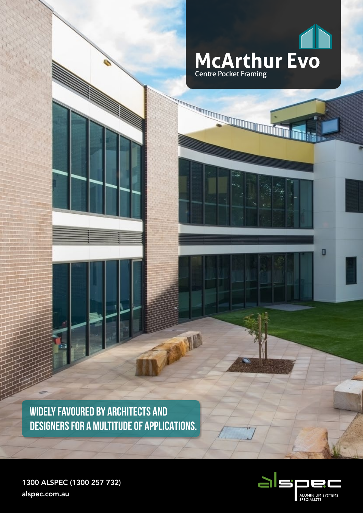

**WIDELY FAVOURED BY ARCHITECTS AND DESIGNERS FOR A MULTITUDE OF APPLICATIONS.**

**ANSID** 



O

1300 ALSPEC (1300 257 732) alspec.com.au

**College Processing College Processing College Processing College Processing College Processing College Process**